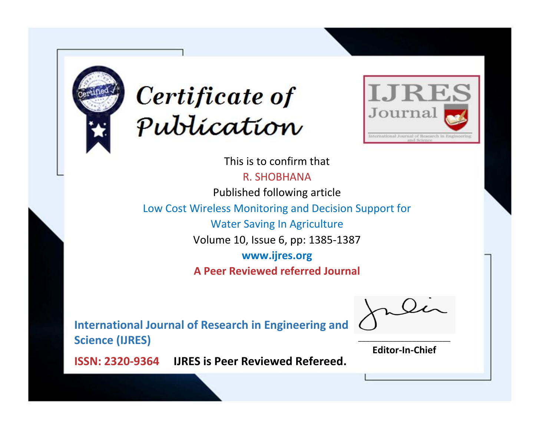



This is to confirm that R. SHOBHANA

Published following article

Low Cost Wireless Monitoring and Decision Support for

Water Saving In Agriculture

Volume 10, Issue 6, pp: 1385-1387

**www.ijres.org**

**A Peer Reviewed referred Journal**

**International Journal of Research in Engineering and Science (IJRES)**

\_\_\_\_\_\_\_\_\_\_\_\_\_\_\_\_\_\_\_\_\_\_\_\_ **Editor-In-Chief**

**Journal.**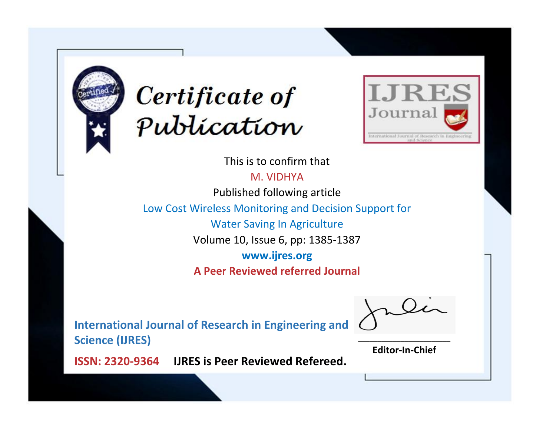



This is to confirm that

M. VIDHYA

Published following article

Low Cost Wireless Monitoring and Decision Support for

Water Saving In Agriculture

Volume 10, Issue 6, pp: 1385-1387

**www.ijres.org**

**A Peer Reviewed referred Journal**

**International Journal of Research in Engineering and Science (IJRES)**

\_\_\_\_\_\_\_\_\_\_\_\_\_\_\_\_\_\_\_\_\_\_\_\_ **Editor-In-Chief**

**Journal.**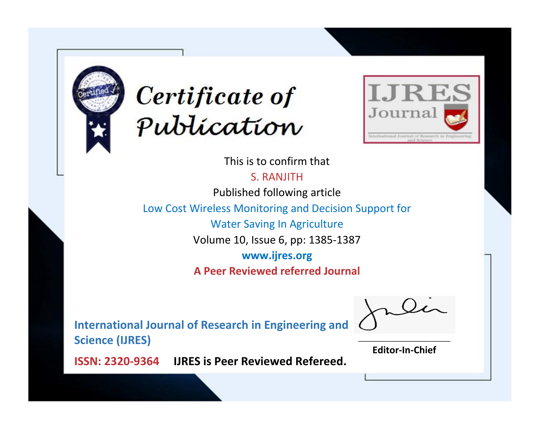



This is to confirm that

S. RANJITH

Published following article

Low Cost Wireless Monitoring and Decision Support for

Water Saving In Agriculture

Volume 10, Issue 6, pp: 1385-1387

**www.ijres.org**

**A Peer Reviewed referred Journal**

**International Journal of Research in Engineering and Science (IJRES)**

\_\_\_\_\_\_\_\_\_\_\_\_\_\_\_\_\_\_\_\_\_\_\_\_ **Editor-In-Chief**

**Journal.**